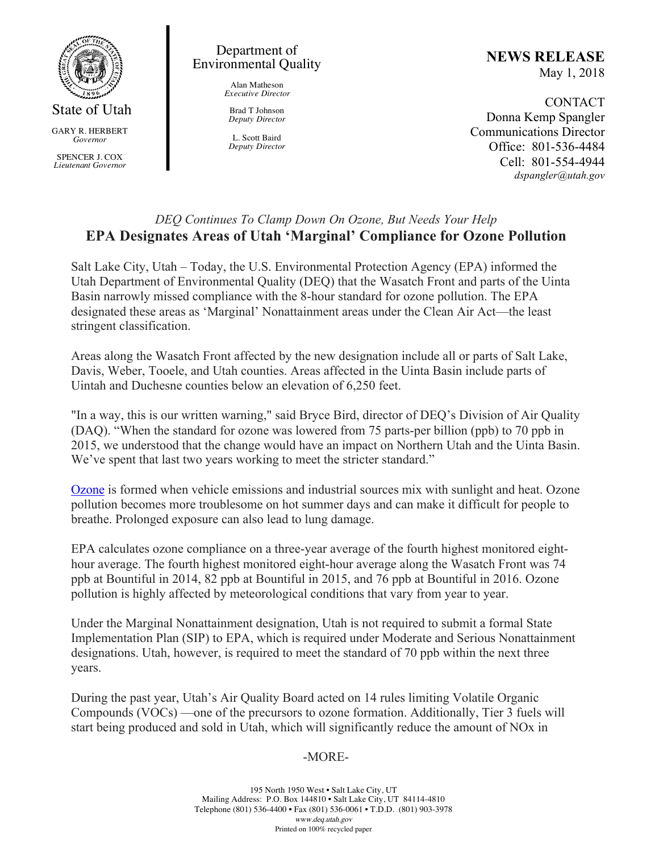

GARY R. HERBERT *Governor*

SPENCER J. COX *Lieutenant Governor*

### Department of Environmental Quality

Alan Matheson *Executive Director*

Brad T Johnson *Deputy Director*

L. Scott Baird *Deputy Director* **NEWS RELEASE** May 1, 2018

CONTACT Donna Kemp Spangler Communications Director Office: 801-536-4484 Cell: 801-554-4944 *dspangler@utah.gov*

# *DEQ Continues To Clamp Down On Ozone, But Needs Your Help* **EPA Designates Areas of Utah 'Marginal' Compliance for Ozone Pollution**

Salt Lake City, Utah – Today, the U.S. Environmental Protection Agency (EPA) informed the Utah Department of Environmental Quality (DEQ) that the Wasatch Front and parts of the Uinta Basin narrowly missed compliance with the 8-hour standard for ozone pollution. The EPA designated these areas as 'Marginal' Nonattainment areas under the Clean Air Act—the least stringent classification.

Areas along the Wasatch Front affected by the new designation include all or parts of Salt Lake, Davis, Weber, Tooele, and Utah counties. Areas affected in the Uinta Basin include parts of Uintah and Duchesne counties below an elevation of 6,250 feet.

"In a way, this is our written warning," said Bryce Bird, director of DEQ's Division of Air Quality (DAQ). "When the standard for ozone was lowered from 75 parts-per billion (ppb) to 70 ppb in 2015, we understood that the change would have an impact on Northern Utah and the Uinta Basin. We've spent that last two years working to meet the stricter standard."

Ozone is formed when vehicle emissions and industrial sources mix with sunlight and heat. Ozone pollution becomes more troublesome on hot summer days and can make it difficult for people to breathe. Prolonged exposure can also lead to lung damage.

EPA calculates ozone compliance on a three-year average of the fourth highest monitored eighthour average. The fourth highest monitored eight-hour average along the Wasatch Front was 74 ppb at Bountiful in 2014, 82 ppb at Bountiful in 2015, and 76 ppb at Bountiful in 2016. Ozone pollution is highly affected by meteorological conditions that vary from year to year.

Under the Marginal Nonattainment designation, Utah is not required to submit a formal State Implementation Plan (SIP) to EPA, which is required under Moderate and Serious Nonattainment designations. Utah, however, is required to meet the standard of 70 ppb within the next three years.

During the past year, Utah's Air Quality Board acted on 14 rules limiting Volatile Organic Compounds (VOCs) —one of the precursors to ozone formation. Additionally, Tier 3 fuels will start being produced and sold in Utah, which will significantly reduce the amount of NOx in

## -MORE-

195 North 1950 West • Salt Lake City, UT Mailing Address: P.O. Box 144810 • Salt Lake City, UT 84114-4810 Telephone (801) 536-4400 • Fax (801) 536-0061 • T.D.D. (801) 903-3978 www.deq.utah.gov Printed on 100% recycled paper